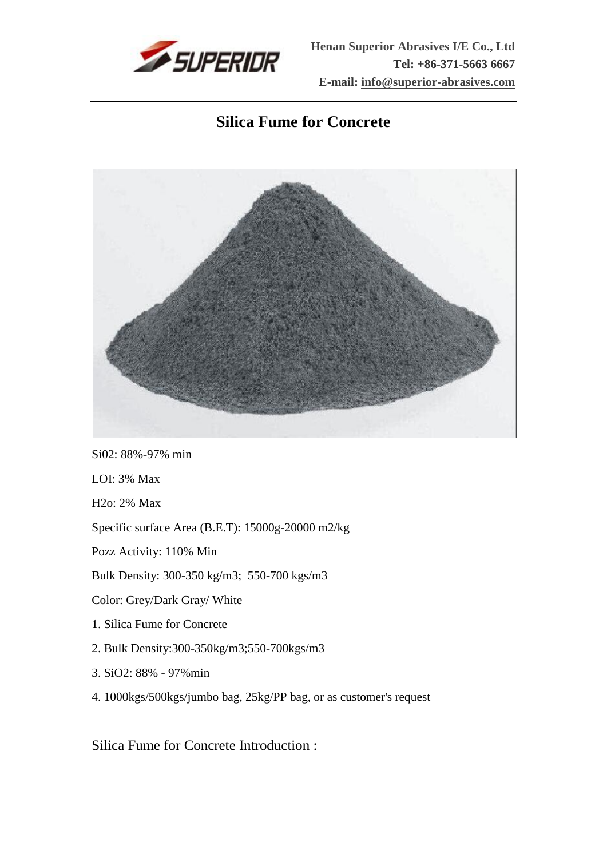

## **Silica Fume for Concrete**



Si02: 88%-97% min LOI: 3% Max H2o: 2% Max Specific surface Area (B.E.T): 15000g-20000 m2/kg Pozz Activity: 110% Min Bulk Density: 300-350 kg/m3; 550-700 kgs/m3 Color: Grey/Dark Gray/ White 1. Silica Fume for Concrete 2. Bulk Density:300-350kg/m3;550-700kgs/m3 3. SiO2: 88% - 97%min 4. 1000kgs/500kgs/jumbo bag, 25kg/PP bag, or as customer's request

Silica Fume for Concrete Introduction :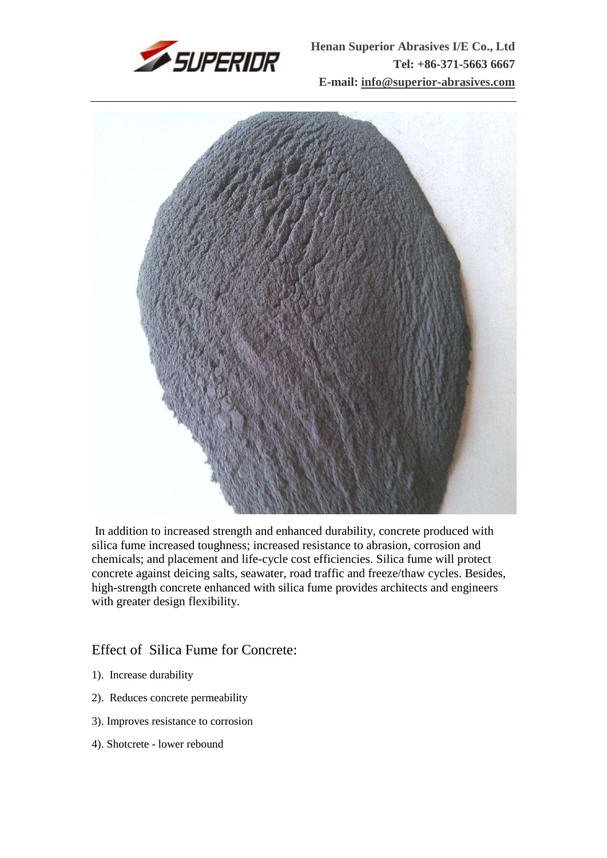



In addition to increased strength and enhanced durability, concrete produced with silica fume increased toughness; increased resistance to abrasion, corrosion and chemicals; and placement and life-cycle cost efficiencies. Silica fume will protect concrete against deicing salts, seawater, road traffic and freeze/thaw cycles. Besides, high-strength concrete enhanced with silica fume provides architects and engineers with greater design flexibility.

## Effect of Silica Fume for Concrete:

- 1). Increase durability
- 2). Reduces concrete permeability
- 3). Improves resistance to corrosion
- 4). Shotcrete lower rebound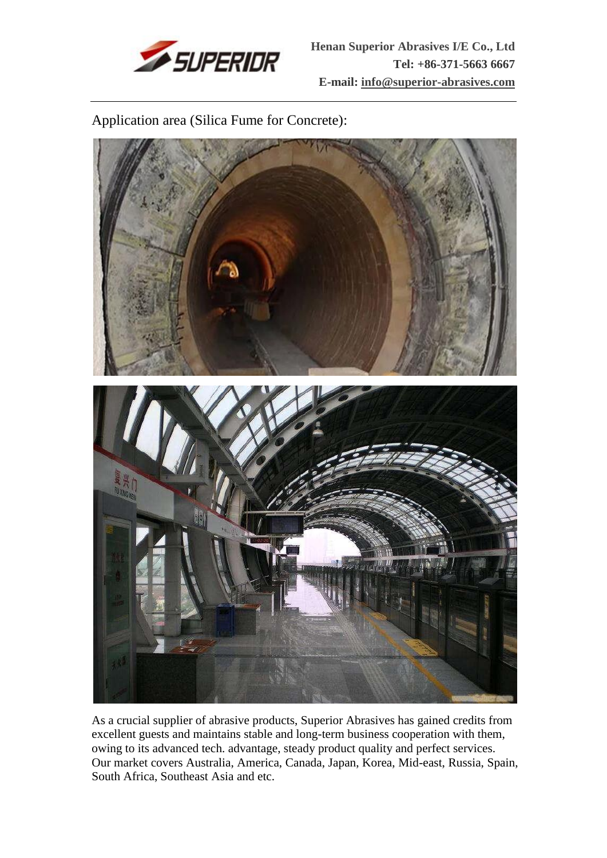

Application area (Silica Fume for Concrete):



As a crucial supplier of abrasive products, Superior Abrasives has gained credits from excellent guests and maintains stable and long-term business cooperation with them, owing to its advanced tech. advantage, steady product quality and perfect services. Our market covers Australia, America, Canada, Japan, Korea, Mid-east, Russia, Spain, South Africa, Southeast Asia and etc.